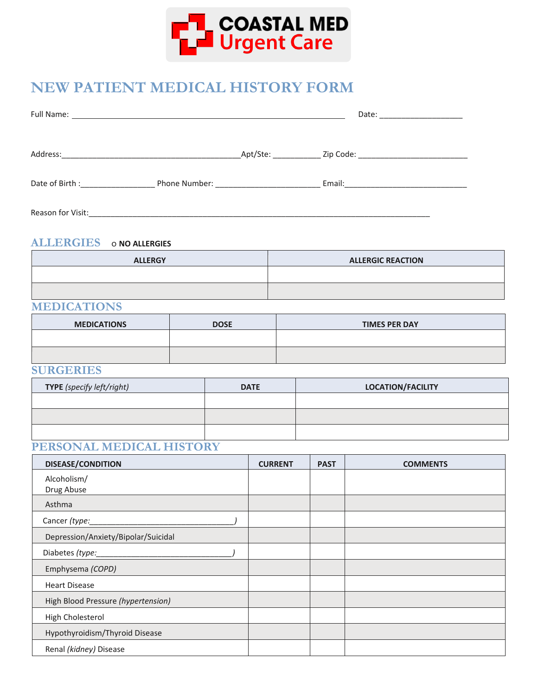

# **NEW PATIENT MEDICAL HISTORY FORM**

| Full Name:                       |                                         |          | Date: _____________________              |
|----------------------------------|-----------------------------------------|----------|------------------------------------------|
| Address:                         |                                         | Apt/Ste: |                                          |
| Date of Birth : ________________ | Phone Number: <u>__________________</u> |          | Email: <u>__________________________</u> |
| Reason for Visit:                |                                         |          |                                          |

#### **ALLERGIES** o **NO ALLERGIES**

| <b>ALLERGY</b> | <b>ALLERGIC REACTION</b> |
|----------------|--------------------------|
|                |                          |
|                |                          |

### **MEDICATIONS**

| <b>MEDICATIONS</b> | <b>DOSE</b> | <b>TIMES PER DAY</b> |
|--------------------|-------------|----------------------|
|                    |             |                      |
|                    |             |                      |

#### **SURGERIES**

| <b>TYPE</b> (specify left/right) | <b>DATE</b> | <b>LOCATION/FACILITY</b> |
|----------------------------------|-------------|--------------------------|
|                                  |             |                          |
|                                  |             |                          |
|                                  |             |                          |

#### **PERSONAL MEDICAL HISTORY**

| <b>DISEASE/CONDITION</b>            | <b>CURRENT</b> | <b>PAST</b> | <b>COMMENTS</b> |
|-------------------------------------|----------------|-------------|-----------------|
| Alcoholism/                         |                |             |                 |
| Drug Abuse                          |                |             |                 |
| Asthma                              |                |             |                 |
| Cancer (type:                       |                |             |                 |
| Depression/Anxiety/Bipolar/Suicidal |                |             |                 |
| Diabetes (type:                     |                |             |                 |
| Emphysema (COPD)                    |                |             |                 |
| <b>Heart Disease</b>                |                |             |                 |
| High Blood Pressure (hypertension)  |                |             |                 |
| High Cholesterol                    |                |             |                 |
| Hypothyroidism/Thyroid Disease      |                |             |                 |
| Renal (kidney) Disease              |                |             |                 |